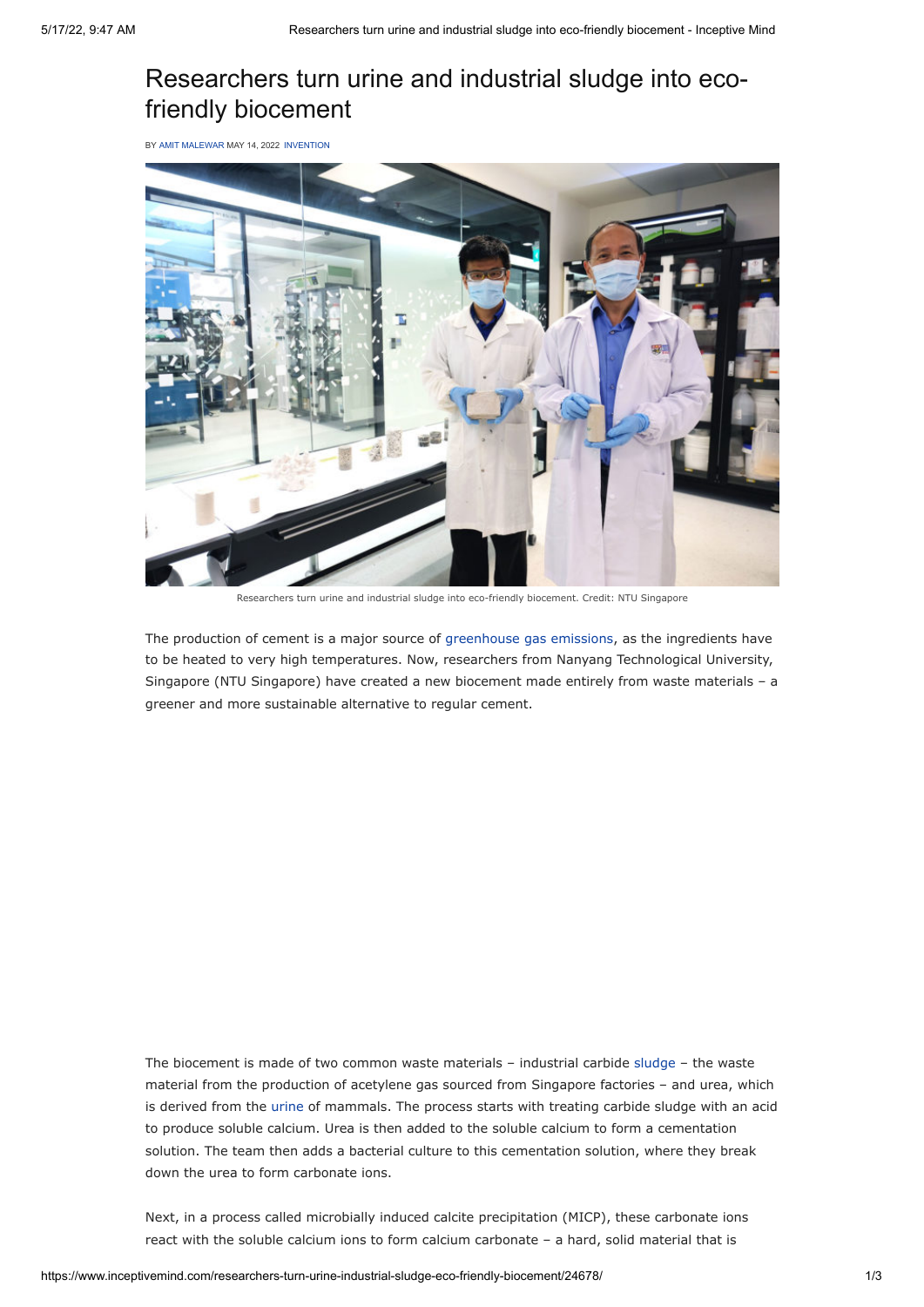## Researchers turn urine and industrial sludge into ecofriendly biocement

BY [AMIT MALEWAR](https://www.inceptivemind.com/author/amit/) MAY 14, 2022 [INVENTION](https://www.inceptivemind.com/category/invention/)



Researchers turn urine and industrial sludge into eco-friendly biocement. Credit: NTU Singapore

The production of cement is a major source of [greenhouse gas emissions](https://www.inceptivemind.com/tag/CO2-emission/), as the ingredients have to be heated to very high temperatures. Now, researchers from Nanyang Technological University, Singapore (NTU Singapore) have created a new biocement made entirely from waste materials – a greener and more sustainable alternative to regular cement.

The biocement is made of two common waste materials – industrial carbide [sludge](https://www.inceptivemind.com/wpi-turning-toxic-sewage-sludge-renewable-energy/20679/) – the waste material from the production of acetylene gas sourced from Singapore factories – and urea, which is derived from the [urine](https://www.inceptivemind.com/e-dinas-waterlight-converts-saltwater-urine-electricity/18688/) of mammals. The process starts with treating carbide sludge with an acid to produce soluble calcium. Urea is then added to the soluble calcium to form a cementation solution. The team then adds a bacterial culture to this cementation solution, where they break down the urea to form carbonate ions.

Next, in a process called microbially induced calcite precipitation (MICP), these carbonate ions react with the soluble calcium ions to form calcium carbonate – a hard, solid material that is